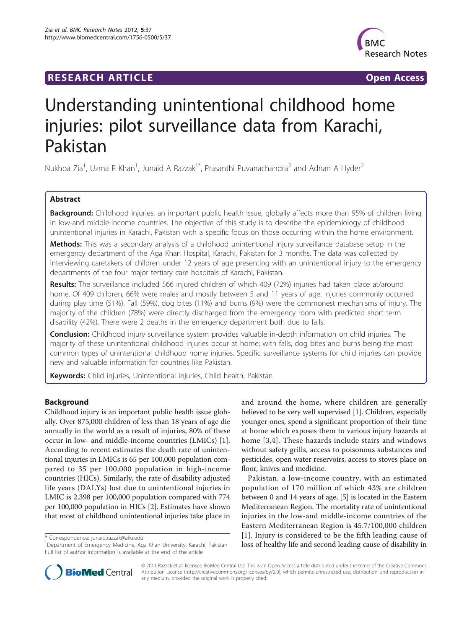## **RESEARCH ARTICLE Example 2018 12:00 DEAR Open Access**



# Understanding unintentional childhood home injuries: pilot surveillance data from Karachi, Pakistan

Nukhba Zia<sup>1</sup>, Uzma R Khan<sup>1</sup>, Junaid A Razzak<sup>1\*</sup>, Prasanthi Puvanachandra<sup>2</sup> and Adnan A Hyder<sup>2</sup>

## Abstract

Background: Childhood injuries, an important public health issue, globally affects more than 95% of children living in low-and middle-income countries. The objective of this study is to describe the epidemiology of childhood unintentional injuries in Karachi, Pakistan with a specific focus on those occurring within the home environment.

Methods: This was a secondary analysis of a childhood unintentional injury surveillance database setup in the emergency department of the Aga Khan Hospital, Karachi, Pakistan for 3 months. The data was collected by interviewing caretakers of children under 12 years of age presenting with an unintentional injury to the emergency departments of the four major tertiary care hospitals of Karachi, Pakistan.

Results: The surveillance included 566 injured children of which 409 (72%) injuries had taken place at/around home. Of 409 children, 66% were males and mostly between 5 and 11 years of age. Injuries commonly occurred during play time (51%). Fall (59%), dog bites (11%) and burns (9%) were the commonest mechanisms of injury. The majority of the children (78%) were directly discharged from the emergency room with predicted short term disability (42%). There were 2 deaths in the emergency department both due to falls.

Conclusion: Childhood injury surveillance system provides valuable in-depth information on child injuries. The majority of these unintentional childhood injuries occur at home; with falls, dog bites and burns being the most common types of unintentional childhood home injuries. Specific surveillance systems for child injuries can provide new and valuable information for countries like Pakistan.

Keywords: Child injuries, Unintentional injuries, Child health, Pakistan

## Background

Childhood injury is an important public health issue globally. Over 875,000 children of less than 18 years of age die annually in the world as a result of injuries, 80% of these occur in low- and middle-income countries (LMICs) [\[1](#page-5-0)]. According to recent estimates the death rate of unintentional injuries in LMICs is 65 per 100,000 population compared to 35 per 100,000 population in high-income countries (HICs). Similarly, the rate of disability adjusted life years (DALYs) lost due to unintentional injuries in LMIC is 2,398 per 100,000 population compared with 774 per 100,000 population in HICs [[2](#page-5-0)]. Estimates have shown that most of childhood unintentional injuries take place in

\* Correspondence: [junaid.razzak@aku.edu](mailto:junaid.razzak@aku.edu)

<sup>1</sup>Department of Emergency Medicine, Aga Khan University, Karachi, Pakistan Full list of author information is available at the end of the article

and around the home, where children are generally believed to be very well supervised [\[1](#page-5-0)]. Children, especially younger ones, spend a significant proportion of their time at home which exposes them to various injury hazards at home [[3](#page-5-0),[4](#page-5-0)]. These hazards include stairs and windows without safety grills, access to poisonous substances and pesticides, open water reservoirs, access to stoves place on floor, knives and medicine.

Pakistan, a low-income country, with an estimated population of 170 million of which 43% are children between 0 and 14 years of age, [\[5](#page-5-0)] is located in the Eastern Mediterranean Region. The mortality rate of unintentional injuries in the low-and middle-income countries of the Eastern Mediterranean Region is 45.7/100,000 children [[1](#page-5-0)]. Injury is considered to be the fifth leading cause of loss of healthy life and second leading cause of disability in



© 2011 Razzak et al; licensee BioMed Central Ltd. This is an Open Access article distributed under the terms of the Creative Commons Attribution License [\(http://creativecommons.org/licenses/by/2.0](http://creativecommons.org/licenses/by/2.0)), which permits unrestricted use, distribution, and reproduction in any medium, provided the original work is properly cited.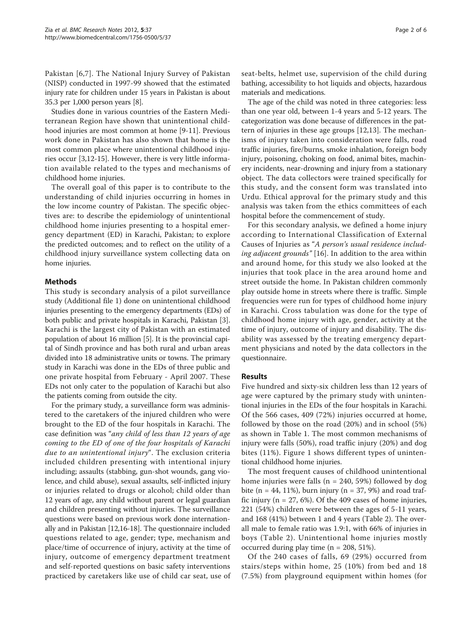Pakistan [\[6,7](#page-5-0)]. The National Injury Survey of Pakistan (NISP) conducted in 1997-99 showed that the estimated injury rate for children under 15 years in Pakistan is about 35.3 per 1,000 person years [[8\]](#page-5-0).

Studies done in various countries of the Eastern Mediterranean Region have shown that unintentional childhood injuries are most common at home [\[9](#page-5-0)-[11\]](#page-5-0). Previous work done in Pakistan has also shown that home is the most common place where unintentional childhood injuries occur [\[3,12](#page-5-0)-[15\]](#page-5-0). However, there is very little information available related to the types and mechanisms of childhood home injuries.

The overall goal of this paper is to contribute to the understanding of child injuries occurring in homes in the low income country of Pakistan. The specific objectives are: to describe the epidemiology of unintentional childhood home injuries presenting to a hospital emergency department (ED) in Karachi, Pakistan; to explore the predicted outcomes; and to reflect on the utility of a childhood injury surveillance system collecting data on home injuries.

## Methods

This study is secondary analysis of a pilot surveillance study (Additional file [1](#page-5-0)) done on unintentional childhood injuries presenting to the emergency departments (EDs) of both public and private hospitals in Karachi, Pakistan [\[3](#page-5-0)]. Karachi is the largest city of Pakistan with an estimated population of about 16 million [[5\]](#page-5-0). It is the provincial capital of Sindh province and has both rural and urban areas divided into 18 administrative units or towns. The primary study in Karachi was done in the EDs of three public and one private hospital from February - April 2007. These EDs not only cater to the population of Karachi but also the patients coming from outside the city.

For the primary study, a surveillance form was administered to the caretakers of the injured children who were brought to the ED of the four hospitals in Karachi. The case definition was "any child of less than 12 years of age coming to the ED of one of the four hospitals of Karachi due to an unintentional injury". The exclusion criteria included children presenting with intentional injury including; assaults (stabbing, gun-shot wounds, gang violence, and child abuse), sexual assaults, self-inflicted injury or injuries related to drugs or alcohol; child older than 12 years of age, any child without parent or legal guardian and children presenting without injuries. The surveillance questions were based on previous work done internationally and in Pakistan [\[12,16-18\]](#page-5-0). The questionnaire included questions related to age, gender; type, mechanism and place/time of occurrence of injury, activity at the time of injury, outcome of emergency department treatment and self-reported questions on basic safety interventions practiced by caretakers like use of child car seat, use of

seat-belts, helmet use, supervision of the child during bathing, accessibility to hot liquids and objects, hazardous materials and medications.

The age of the child was noted in three categories: less than one year old, between 1-4 years and 5-12 years. The categorization was done because of differences in the pattern of injuries in these age groups [[12](#page-5-0),[13](#page-5-0)]. The mechanisms of injury taken into consideration were falls, road traffic injuries, fire/burns, smoke inhalation, foreign body injury, poisoning, choking on food, animal bites, machinery incidents, near-drowning and injury from a stationary object. The data collectors were trained specifically for this study, and the consent form was translated into Urdu. Ethical approval for the primary study and this analysis was taken from the ethics committees of each hospital before the commencement of study.

For this secondary analysis, we defined a home injury according to International Classification of External Causes of Injuries as "A person's usual residence including adjacent grounds" [\[16](#page-5-0)]. In addition to the area within and around home, for this study we also looked at the injuries that took place in the area around home and street outside the home. In Pakistan children commonly play outside home in streets where there is traffic. Simple frequencies were run for types of childhood home injury in Karachi. Cross tabulation was done for the type of childhood home injury with age, gender, activity at the time of injury, outcome of injury and disability. The disability was assessed by the treating emergency department physicians and noted by the data collectors in the questionnaire.

#### Results

Five hundred and sixty-six children less than 12 years of age were captured by the primary study with unintentional injuries in the EDs of the four hospitals in Karachi. Of the 566 cases, 409 (72%) injuries occurred at home, followed by those on the road (20%) and in school (5%) as shown in Table [1](#page-2-0). The most common mechanisms of injury were falls (50%), road traffic injury (20%) and dog bites (11%). Figure [1](#page-2-0) shows different types of unintentional childhood home injuries.

The most frequent causes of childhood unintentional home injuries were falls ( $n = 240, 59%$ ) followed by dog bite ( $n = 44$ , 11%), burn injury ( $n = 37$ , 9%) and road traffic injury ( $n = 27, 6\%$ ). Of the 409 cases of home injuries, 221 (54%) children were between the ages of 5-11 years, and 168 (41%) between 1 and 4 years (Table [2\)](#page-2-0). The overall male to female ratio was 1.9:1, with 66% of injuries in boys (Table [2\)](#page-2-0). Unintentional home injuries mostly occurred during play time (n = 208, 51%).

Of the 240 cases of falls, 69 (29%) occurred from stairs/steps within home, 25 (10%) from bed and 18 (7.5%) from playground equipment within homes (for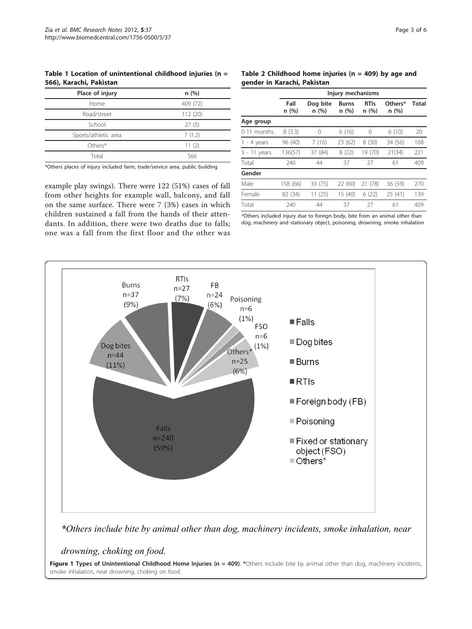<span id="page-2-0"></span>Table 1 Location of unintentional childhood injuries ( $n =$ 566), Karachi, Pakistan

| Place of injury      | n(%)     |  |  |
|----------------------|----------|--|--|
| Home                 | 409 (72) |  |  |
| Road/street          | 112 (20) |  |  |
| School               | 27(5)    |  |  |
| Sports/athletic area | 7(1.2)   |  |  |
| Others*              | 11(2)    |  |  |
| Total                | 566      |  |  |

\*Others places of injury included farm, trade/service area, public building

example play swings). There were 122 (51%) cases of fall from other heights for example wall, balcony, and fall on the same surface. There were 7 (3%) cases in which children sustained a fall from the hands of their attendants. In addition, there were two deaths due to falls; one was a fall from the first floor and the other was

## Table 2 Childhood home injuries ( $n = 409$ ) by age and gender in Karachi, Pakistan

|                | Injury mechanisms |                  |               |                      |                 |              |  |
|----------------|-------------------|------------------|---------------|----------------------|-----------------|--------------|--|
|                | Fall<br>n(%)      | Dog bite<br>n(%) | Burns<br>n(%) | <b>RTIs</b><br>n (%) | Others*<br>n(%) | <b>Total</b> |  |
| Age group      |                   |                  |               |                      |                 |              |  |
| 0-11 months    | 8(3.3)            | 0                | 6(16)         | 0                    | 6(10)           | 20           |  |
| $1 - 4$ years  | 96 (40)           | 7(16)            | 23 (62)       | 8(30)                | 34 (56)         | 168          |  |
| $5 - 11$ years | 136(57)           | 37 (84)          | 8(22)         | 19 (70)              | 21(34)          | 221          |  |
| Total          | 240               | 44               | 37            | 27                   | 61              | 409          |  |
| Gender         |                   |                  |               |                      |                 |              |  |
| Male           | 158 (66)          | 33 (75)          | 22 (60)       | 21 (78)              | 36 (59)         | 270          |  |
| Female         | 82 (34)           | 11(25)           | 15 (40)       | 6(22)                | 25(41)          | 139          |  |
| Total          | 240               | 44               | 37            | 27                   | 61              | 409          |  |

\*Others included injury due to foreign body, bite from an animal other than dog, machinery and stationary object, poisoning, drowning, smoke inhalation



*\*Others include bite by animal other than dog, machinery incidents, smoke inhalation, near* 

*drowning, choking on food.*

Figure 1 Types of Unintentional Childhood Home Injuries ( $n = 409$ ). \*Others include bite by animal other than dog, machinery incidents, smoke inhalation, near drowning, choking on food.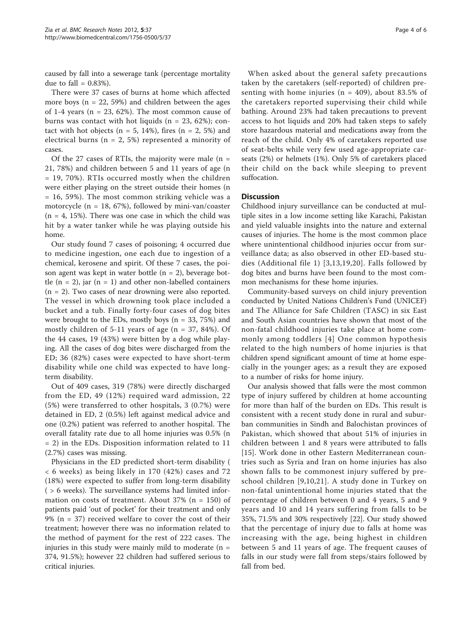caused by fall into a sewerage tank (percentage mortality due to fall  $= 0.83\%$ ).

There were 37 cases of burns at home which affected more boys ( $n = 22, 59\%$ ) and children between the ages of 1-4 years ( $n = 23, 62\%$ ). The most common cause of burns was contact with hot liquids ( $n = 23, 62\%$ ); contact with hot objects ( $n = 5$ , 14%), fires ( $n = 2$ , 5%) and electrical burns ( $n = 2, 5\%$ ) represented a minority of cases.

Of the 27 cases of RTIs, the majority were male  $(n =$ 21, 78%) and children between 5 and 11 years of age (n = 19, 70%). RTIs occurred mostly when the children were either playing on the street outside their homes (n = 16, 59%). The most common striking vehicle was a motorcycle ( $n = 18, 67\%$ ), followed by mini-van/coaster  $(n = 4, 15\%)$ . There was one case in which the child was hit by a water tanker while he was playing outside his home.

Our study found 7 cases of poisoning; 4 occurred due to medicine ingestion, one each due to ingestion of a chemical, kerosene and spirit. Of these 7 cases, the poison agent was kept in water bottle  $(n = 2)$ , beverage bottle  $(n = 2)$ , jar  $(n = 1)$  and other non-labelled containers  $(n = 2)$ . Two cases of near drowning were also reported. The vessel in which drowning took place included a bucket and a tub. Finally forty-four cases of dog bites were brought to the EDs, mostly boys ( $n = 33, 75\%$ ) and mostly children of 5-11 years of age  $(n = 37, 84%)$ . Of the 44 cases, 19 (43%) were bitten by a dog while playing. All the cases of dog bites were discharged from the ED; 36 (82%) cases were expected to have short-term disability while one child was expected to have longterm disability.

Out of 409 cases, 319 (78%) were directly discharged from the ED, 49 (12%) required ward admission, 22 (5%) were transferred to other hospitals, 3 (0.7%) were detained in ED, 2 (0.5%) left against medical advice and one (0.2%) patient was referred to another hospital. The overall fatality rate due to all home injuries was 0.5% (n = 2) in the EDs. Disposition information related to 11 (2.7%) cases was missing.

Physicians in the ED predicted short-term disability ( < 6 weeks) as being likely in 170 (42%) cases and 72 (18%) were expected to suffer from long-term disability ( > 6 weeks). The surveillance systems had limited information on costs of treatment. About  $37\%$  (n = 150) of patients paid 'out of pocket' for their treatment and only 9% (n = 37) received welfare to cover the cost of their treatment; however there was no information related to the method of payment for the rest of 222 cases. The injuries in this study were mainly mild to moderate  $(n =$ 374, 91.5%); however 22 children had suffered serious to critical injuries.

When asked about the general safety precautions taken by the caretakers (self-reported) of children presenting with home injuries ( $n = 409$ ), about 83.5% of the caretakers reported supervising their child while bathing. Around 23% had taken precautions to prevent access to hot liquids and 20% had taken steps to safely store hazardous material and medications away from the reach of the child. Only 4% of caretakers reported use of seat-belts while very few used age-appropriate carseats (2%) or helmets (1%). Only 5% of caretakers placed their child on the back while sleeping to prevent suffocation.

## **Discussion**

Childhood injury surveillance can be conducted at multiple sites in a low income setting like Karachi, Pakistan and yield valuable insights into the nature and external causes of injuries. The home is the most common place where unintentional childhood injuries occur from surveillance data; as also observed in other ED-based studies (Additional file [1\)](#page-5-0) [\[3,13,19](#page-5-0),[20](#page-5-0)]. Falls followed by dog bites and burns have been found to the most common mechanisms for these home injuries.

Community-based surveys on child injury prevention conducted by United Nations Children's Fund (UNICEF) and The Alliance for Safe Children (TASC) in six East and South Asian countries have shown that most of the non-fatal childhood injuries take place at home commonly among toddlers [[4](#page-5-0)] One common hypothesis related to the high numbers of home injuries is that children spend significant amount of time at home especially in the younger ages; as a result they are exposed to a number of risks for home injury.

Our analysis showed that falls were the most common type of injury suffered by children at home accounting for more than half of the burden on EDs. This result is consistent with a recent study done in rural and suburban communities in Sindh and Balochistan provinces of Pakistan, which showed that about 51% of injuries in children between 1 and 8 years were attributed to falls [[15\]](#page-5-0). Work done in other Eastern Mediterranean countries such as Syria and Iran on home injuries has also shown falls to be commonest injury suffered by preschool children [[9,10,21\]](#page-5-0). A study done in Turkey on non-fatal unintentional home injuries stated that the percentage of children between 0 and 4 years, 5 and 9 years and 10 and 14 years suffering from falls to be 35%, 71.5% and 30% respectively [\[22\]](#page-5-0). Our study showed that the percentage of injury due to falls at home was increasing with the age, being highest in children between 5 and 11 years of age. The frequent causes of falls in our study were fall from steps/stairs followed by fall from bed.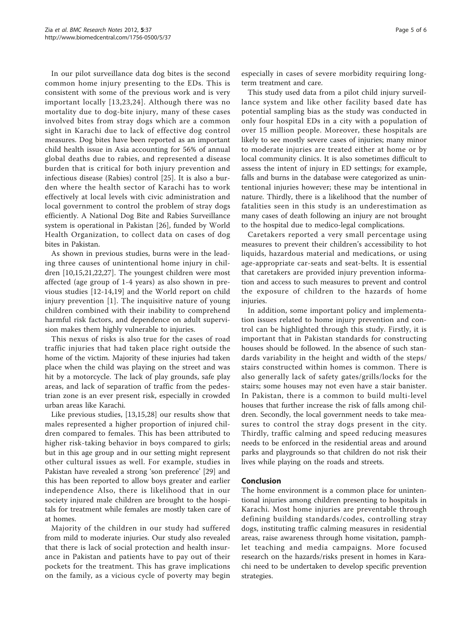In our pilot surveillance data dog bites is the second common home injury presenting to the EDs. This is consistent with some of the previous work and is very important locally [[13,23,24\]](#page-5-0). Although there was no mortality due to dog-bite injury, many of these cases involved bites from stray dogs which are a common sight in Karachi due to lack of effective dog control measures. Dog bites have been reported as an important child health issue in Asia accounting for 56% of annual global deaths due to rabies, and represented a disease burden that is critical for both injury prevention and infectious disease (Rabies) control [\[25](#page-5-0)]. It is also a burden where the health sector of Karachi has to work effectively at local levels with civic administration and local government to control the problem of stray dogs efficiently. A National Dog Bite and Rabies Surveillance system is operational in Pakistan [\[26](#page-5-0)], funded by World Health Organization, to collect data on cases of dog bites in Pakistan.

As shown in previous studies, burns were in the leading three causes of unintentional home injury in children [\[10,15](#page-5-0),[21,22,27\]](#page-5-0). The youngest children were most affected (age group of 1-4 years) as also shown in previous studies [[12-14,19\]](#page-5-0) and the World report on child injury prevention [[1\]](#page-5-0). The inquisitive nature of young children combined with their inability to comprehend harmful risk factors, and dependence on adult supervision makes them highly vulnerable to injuries.

This nexus of risks is also true for the cases of road traffic injuries that had taken place right outside the home of the victim. Majority of these injuries had taken place when the child was playing on the street and was hit by a motorcycle. The lack of play grounds, safe play areas, and lack of separation of traffic from the pedestrian zone is an ever present risk, especially in crowded urban areas like Karachi.

Like previous studies, [\[13,15,28](#page-5-0)] our results show that males represented a higher proportion of injured children compared to females. This has been attributed to higher risk-taking behavior in boys compared to girls; but in this age group and in our setting might represent other cultural issues as well. For example, studies in Pakistan have revealed a strong 'son preference' [\[29](#page-5-0)] and this has been reported to allow boys greater and earlier independence Also, there is likelihood that in our society injured male children are brought to the hospitals for treatment while females are mostly taken care of at homes.

Majority of the children in our study had suffered from mild to moderate injuries. Our study also revealed that there is lack of social protection and health insurance in Pakistan and patients have to pay out of their pockets for the treatment. This has grave implications on the family, as a vicious cycle of poverty may begin especially in cases of severe morbidity requiring longterm treatment and care.

This study used data from a pilot child injury surveillance system and like other facility based date has potential sampling bias as the study was conducted in only four hospital EDs in a city with a population of over 15 million people. Moreover, these hospitals are likely to see mostly severe cases of injuries; many minor to moderate injuries are treated either at home or by local community clinics. It is also sometimes difficult to assess the intent of injury in ED settings; for example, falls and burns in the database were categorized as unintentional injuries however; these may be intentional in nature. Thirdly, there is a likelihood that the number of fatalities seen in this study is an underestimation as many cases of death following an injury are not brought to the hospital due to medico-legal complications.

Caretakers reported a very small percentage using measures to prevent their children's accessibility to hot liquids, hazardous material and medications, or using age-appropriate car-seats and seat-belts. It is essential that caretakers are provided injury prevention information and access to such measures to prevent and control the exposure of children to the hazards of home injuries.

In addition, some important policy and implementation issues related to home injury prevention and control can be highlighted through this study. Firstly, it is important that in Pakistan standards for constructing houses should be followed. In the absence of such standards variability in the height and width of the steps/ stairs constructed within homes is common. There is also generally lack of safety gates/grills/locks for the stairs; some houses may not even have a stair banister. In Pakistan, there is a common to build multi-level houses that further increase the risk of falls among children. Secondly, the local government needs to take measures to control the stray dogs present in the city. Thirdly, traffic calming and speed reducing measures needs to be enforced in the residential areas and around parks and playgrounds so that children do not risk their lives while playing on the roads and streets.

## Conclusion

The home environment is a common place for unintentional injuries among children presenting to hospitals in Karachi. Most home injuries are preventable through defining building standards/codes, controlling stray dogs, instituting traffic calming measures in residential areas, raise awareness through home visitation, pamphlet teaching and media campaigns. More focused research on the hazards/risks present in homes in Karachi need to be undertaken to develop specific prevention strategies.